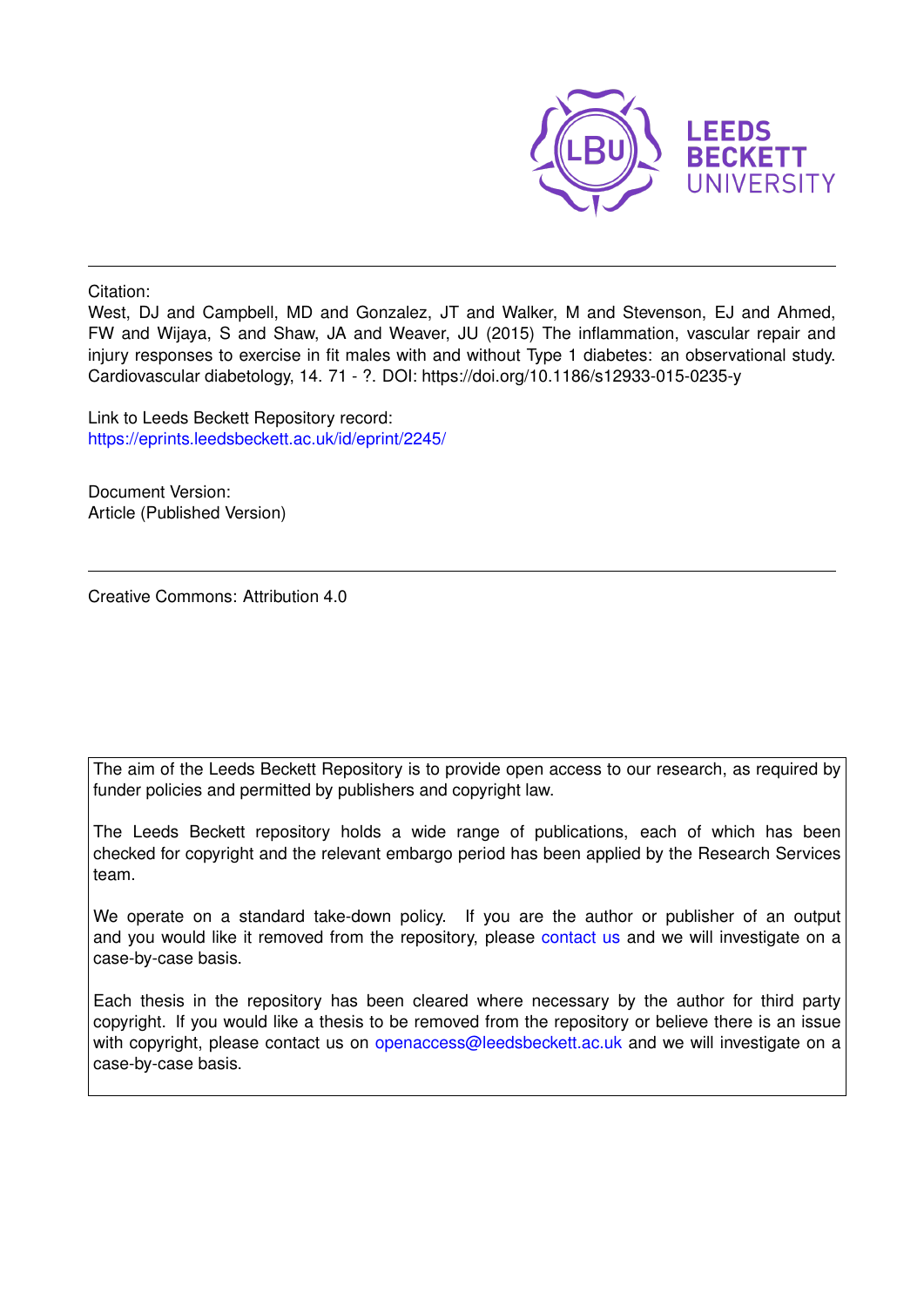

Citation:

West, DJ and Campbell, MD and Gonzalez, JT and Walker, M and Stevenson, EJ and Ahmed, FW and Wijaya, S and Shaw, JA and Weaver, JU (2015) The inflammation, vascular repair and injury responses to exercise in fit males with and without Type 1 diabetes: an observational study. Cardiovascular diabetology, 14. 71 - ?. DOI: https://doi.org/10.1186/s12933-015-0235-y

Link to Leeds Beckett Repository record: <https://eprints.leedsbeckett.ac.uk/id/eprint/2245/>

Document Version: Article (Published Version)

Creative Commons: Attribution 4.0

The aim of the Leeds Beckett Repository is to provide open access to our research, as required by funder policies and permitted by publishers and copyright law.

The Leeds Beckett repository holds a wide range of publications, each of which has been checked for copyright and the relevant embargo period has been applied by the Research Services team.

We operate on a standard take-down policy. If you are the author or publisher of an output and you would like it removed from the repository, please [contact us](mailto:openaccess@leedsbeckett.ac.uk) and we will investigate on a case-by-case basis.

Each thesis in the repository has been cleared where necessary by the author for third party copyright. If you would like a thesis to be removed from the repository or believe there is an issue with copyright, please contact us on [openaccess@leedsbeckett.ac.uk](mailto:openaccess@leedsbeckett.ac.uk) and we will investigate on a case-by-case basis.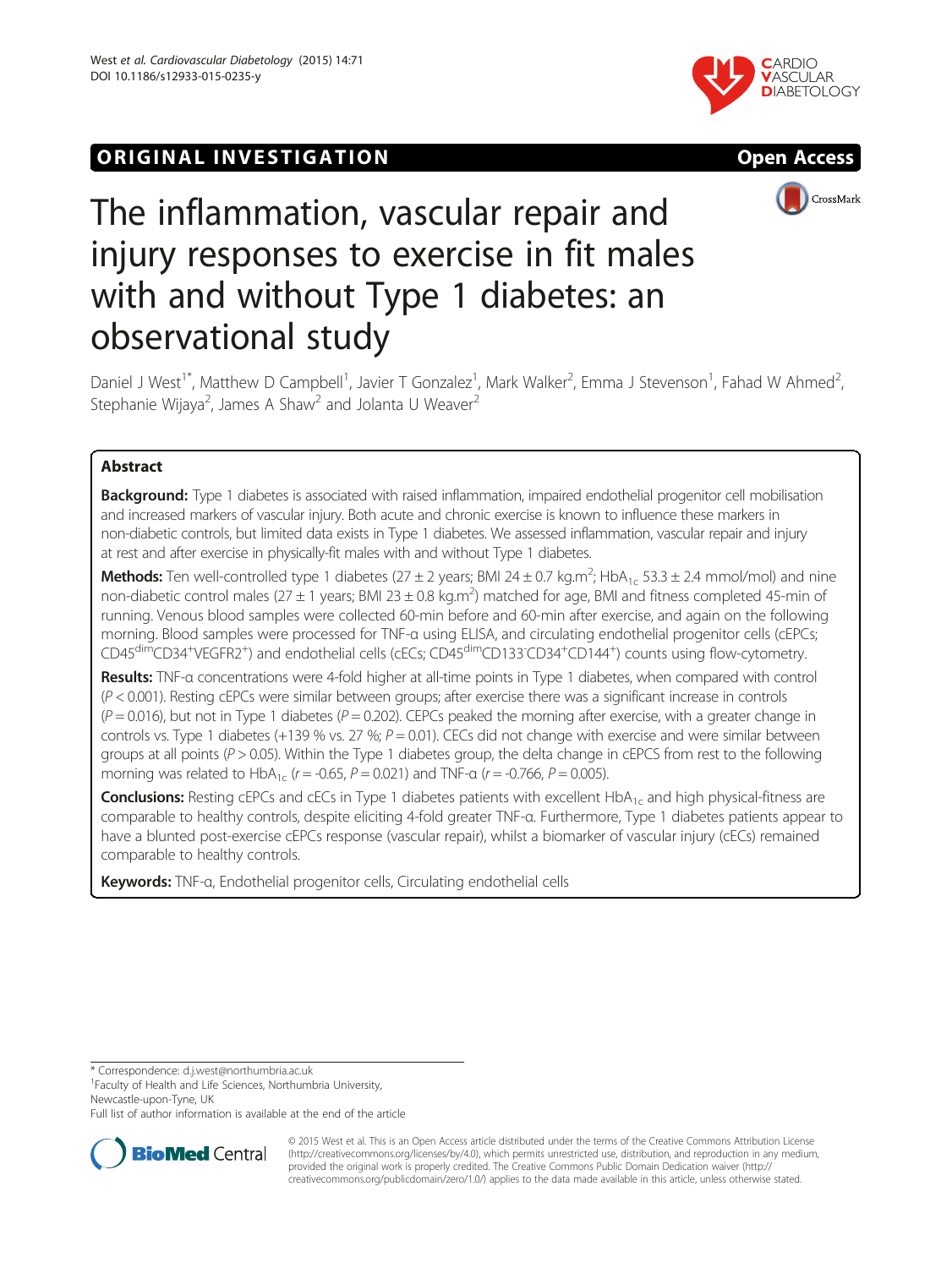







# The inflammation, vascular repair and injury responses to exercise in fit males with and without Type 1 diabetes: an observational study

Daniel J West<sup>1\*</sup>, Matthew D Campbell<sup>1</sup>, Javier T Gonzalez<sup>1</sup>, Mark Walker<sup>2</sup>, Emma J Stevenson<sup>1</sup>, Fahad W Ahmed<sup>2</sup> , Stephanie Wijaya<sup>2</sup>, James A Shaw<sup>2</sup> and Jolanta U Weaver<sup>2</sup>

## Abstract

Background: Type 1 diabetes is associated with raised inflammation, impaired endothelial progenitor cell mobilisation and increased markers of vascular injury. Both acute and chronic exercise is known to influence these markers in non-diabetic controls, but limited data exists in Type 1 diabetes. We assessed inflammation, vascular repair and injury at rest and after exercise in physically-fit males with and without Type 1 diabetes.

**Methods:** Ten well-controlled type 1 diabetes (27 ± 2 years; BMI 24 ± 0.7 kg.m<sup>2</sup>; HbA<sub>1c</sub> 53.3 ± 2.4 mmol/mol) and nine non-diabetic control males (27  $\pm$  1 years; BMI 23  $\pm$  0.8 kg.m<sup>2</sup>) matched for age, BMI and fitness completed 45-min of running. Venous blood samples were collected 60-min before and 60-min after exercise, and again on the following morning. Blood samples were processed for TNF-α using ELISA, and circulating endothelial progenitor cells (cEPCs; CD45<sup>dim</sup>CD34<sup>+</sup>VEGFR2<sup>+</sup>) and endothelial cells (cECs; CD45<sup>dim</sup>CD133<sup>-</sup>CD34<sup>+</sup>CD144<sup>+</sup>) counts using flow-cytometry.

Results: TNF-α concentrations were 4-fold higher at all-time points in Type 1 diabetes, when compared with control  $(P < 0.001)$ . Resting cEPCs were similar between groups; after exercise there was a significant increase in controls  $(P = 0.016)$ , but not in Type 1 diabetes  $(P = 0.202)$ . CEPCs peaked the morning after exercise, with a greater change in controls vs. Type 1 diabetes (+139 % vs. 27 %;  $P = 0.01$ ). CECs did not change with exercise and were similar between groups at all points ( $P > 0.05$ ). Within the Type 1 diabetes group, the delta change in cEPCS from rest to the following morning was related to HbA<sub>1c</sub> (r = -0.65, P = 0.021) and TNF-a (r = -0.766, P = 0.005).

**Conclusions:** Resting cEPCs and cECs in Type 1 diabetes patients with excellent HbA<sub>1c</sub> and high physical-fitness are comparable to healthy controls, despite eliciting 4-fold greater TNF-α. Furthermore, Type 1 diabetes patients appear to have a blunted post-exercise cEPCs response (vascular repair), whilst a biomarker of vascular injury (cECs) remained comparable to healthy controls.

Keywords: TNF-α, Endothelial progenitor cells, Circulating endothelial cells

\* Correspondence: [d.j.west@northumbria.ac.uk](mailto:d.j.west@northumbria.ac.uk) <sup>1</sup>

<sup>1</sup> Faculty of Health and Life Sciences, Northumbria University,

Newcastle-upon-Tyne, UK

Full list of author information is available at the end of the article



© 2015 West et al. This is an Open Access article distributed under the terms of the Creative Commons Attribution License [\(http://creativecommons.org/licenses/by/4.0\)](http://creativecommons.org/licenses/by/4.0), which permits unrestricted use, distribution, and reproduction in any medium, provided the original work is properly credited. The Creative Commons Public Domain Dedication waiver [\(http://](http://creativecommons.org/publicdomain/zero/1.0/) [creativecommons.org/publicdomain/zero/1.0/\)](http://creativecommons.org/publicdomain/zero/1.0/) applies to the data made available in this article, unless otherwise stated.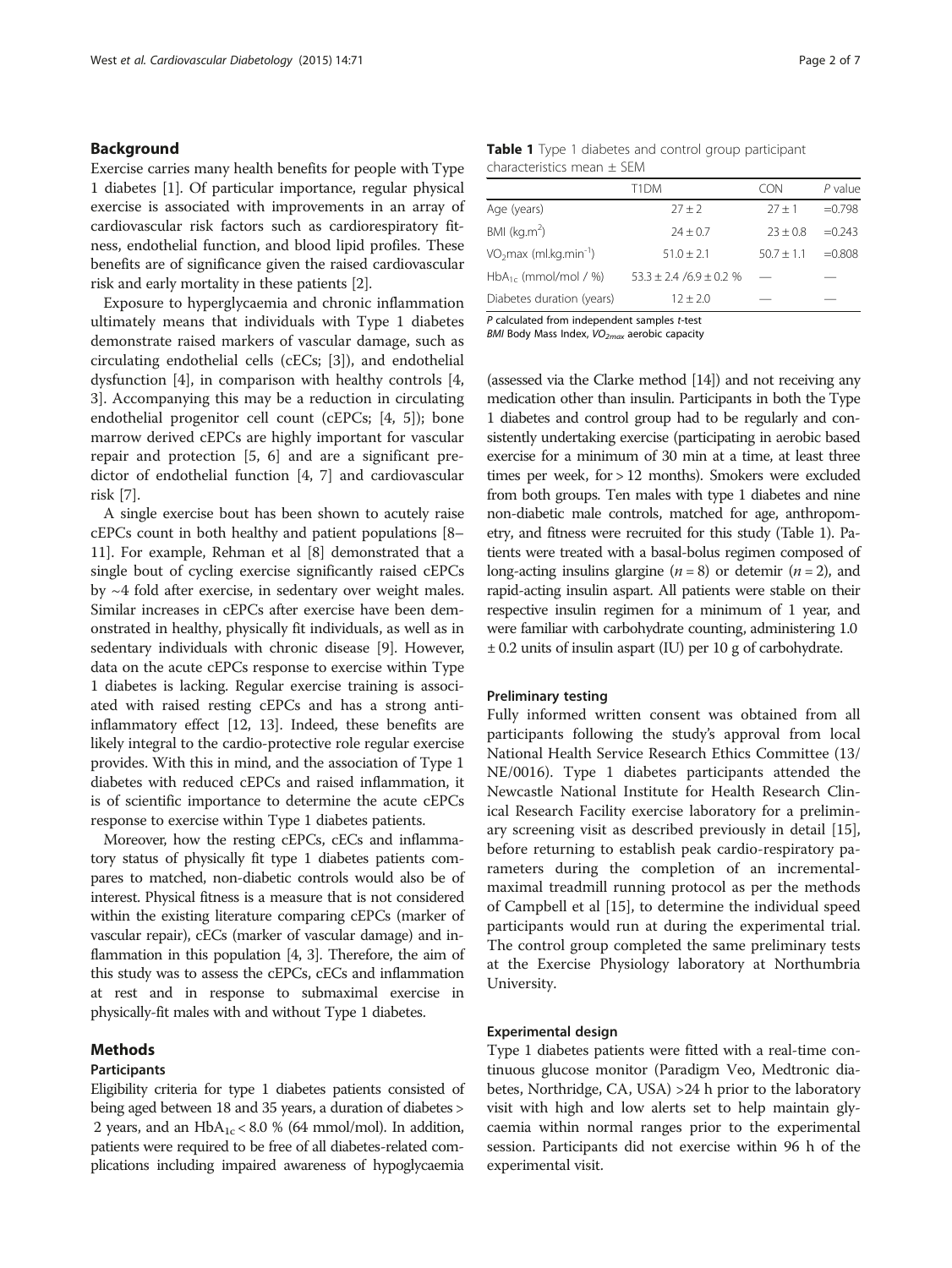#### Background

Exercise carries many health benefits for people with Type 1 diabetes [[1](#page-6-0)]. Of particular importance, regular physical exercise is associated with improvements in an array of cardiovascular risk factors such as cardiorespiratory fitness, endothelial function, and blood lipid profiles. These benefits are of significance given the raised cardiovascular risk and early mortality in these patients [\[2\]](#page-6-0).

Exposure to hyperglycaemia and chronic inflammation ultimately means that individuals with Type 1 diabetes demonstrate raised markers of vascular damage, such as circulating endothelial cells (cECs; [\[3](#page-6-0)]), and endothelial dysfunction [\[4](#page-6-0)], in comparison with healthy controls [\[4](#page-6-0), [3\]](#page-6-0). Accompanying this may be a reduction in circulating endothelial progenitor cell count (cEPCs; [\[4](#page-6-0), [5](#page-6-0)]); bone marrow derived cEPCs are highly important for vascular repair and protection [[5, 6](#page-6-0)] and are a significant predictor of endothelial function [[4, 7](#page-6-0)] and cardiovascular risk [[7\]](#page-6-0).

A single exercise bout has been shown to acutely raise cEPCs count in both healthy and patient populations [[8](#page-6-0)– [11](#page-6-0)]. For example, Rehman et al [\[8](#page-6-0)] demonstrated that a single bout of cycling exercise significantly raised cEPCs by ~4 fold after exercise, in sedentary over weight males. Similar increases in cEPCs after exercise have been demonstrated in healthy, physically fit individuals, as well as in sedentary individuals with chronic disease [[9\]](#page-6-0). However, data on the acute cEPCs response to exercise within Type 1 diabetes is lacking. Regular exercise training is associated with raised resting cEPCs and has a strong antiinflammatory effect [\[12, 13\]](#page-6-0). Indeed, these benefits are likely integral to the cardio-protective role regular exercise provides. With this in mind, and the association of Type 1 diabetes with reduced cEPCs and raised inflammation, it is of scientific importance to determine the acute cEPCs response to exercise within Type 1 diabetes patients.

Moreover, how the resting cEPCs, cECs and inflammatory status of physically fit type 1 diabetes patients compares to matched, non-diabetic controls would also be of interest. Physical fitness is a measure that is not considered within the existing literature comparing cEPCs (marker of vascular repair), cECs (marker of vascular damage) and inflammation in this population [\[4, 3\]](#page-6-0). Therefore, the aim of this study was to assess the cEPCs, cECs and inflammation at rest and in response to submaximal exercise in physically-fit males with and without Type 1 diabetes.

## Methods

#### Participants

Eligibility criteria for type 1 diabetes patients consisted of being aged between 18 and 35 years, a duration of diabetes > 2 years, and an  $HbA_{1c}$  < 8.0 % (64 mmol/mol). In addition, patients were required to be free of all diabetes-related complications including impaired awareness of hypoglycaemia

|                           | T <sub>1</sub> DM              | CON          | $P$ value |
|---------------------------|--------------------------------|--------------|-----------|
| Age (years)               | $27 + 2$                       | $27 + 1$     | $= 0.798$ |
| BMI ( $kg.m2$ )           | $74 + 0.7$                     | $23 + 0.8$   | $= 0.243$ |
| $VO2max (ml.kq.min-1)$    | $51.0 + 2.1$                   | $50.7 + 1.1$ | $=0.808$  |
| $HbA_{1c}$ (mmol/mol / %) | $53.3 \pm 2.4 / 6.9 \pm 0.2$ % |              |           |
| Diabetes duration (years) | $12 + 2.0$                     |              |           |

P calculated from independent samples t-test

BMI Body Mass Index,  $VO<sub>2max</sub>$  aerobic capacity

(assessed via the Clarke method [[14\]](#page-6-0)) and not receiving any medication other than insulin. Participants in both the Type 1 diabetes and control group had to be regularly and consistently undertaking exercise (participating in aerobic based exercise for a minimum of 30 min at a time, at least three times per week, for > 12 months). Smokers were excluded from both groups. Ten males with type 1 diabetes and nine non-diabetic male controls, matched for age, anthropometry, and fitness were recruited for this study (Table 1). Patients were treated with a basal-bolus regimen composed of long-acting insulins glargine  $(n = 8)$  or detemir  $(n = 2)$ , and rapid-acting insulin aspart. All patients were stable on their respective insulin regimen for a minimum of 1 year, and were familiar with carbohydrate counting, administering 1.0 ± 0.2 units of insulin aspart (IU) per 10 g of carbohydrate.

#### Preliminary testing

Fully informed written consent was obtained from all participants following the study's approval from local National Health Service Research Ethics Committee (13/ NE/0016). Type 1 diabetes participants attended the Newcastle National Institute for Health Research Clinical Research Facility exercise laboratory for a preliminary screening visit as described previously in detail [\[15](#page-6-0)], before returning to establish peak cardio-respiratory parameters during the completion of an incrementalmaximal treadmill running protocol as per the methods of Campbell et al [[15\]](#page-6-0), to determine the individual speed participants would run at during the experimental trial. The control group completed the same preliminary tests at the Exercise Physiology laboratory at Northumbria University.

#### Experimental design

Type 1 diabetes patients were fitted with a real-time continuous glucose monitor (Paradigm Veo, Medtronic diabetes, Northridge, CA, USA) >24 h prior to the laboratory visit with high and low alerts set to help maintain glycaemia within normal ranges prior to the experimental session. Participants did not exercise within 96 h of the experimental visit.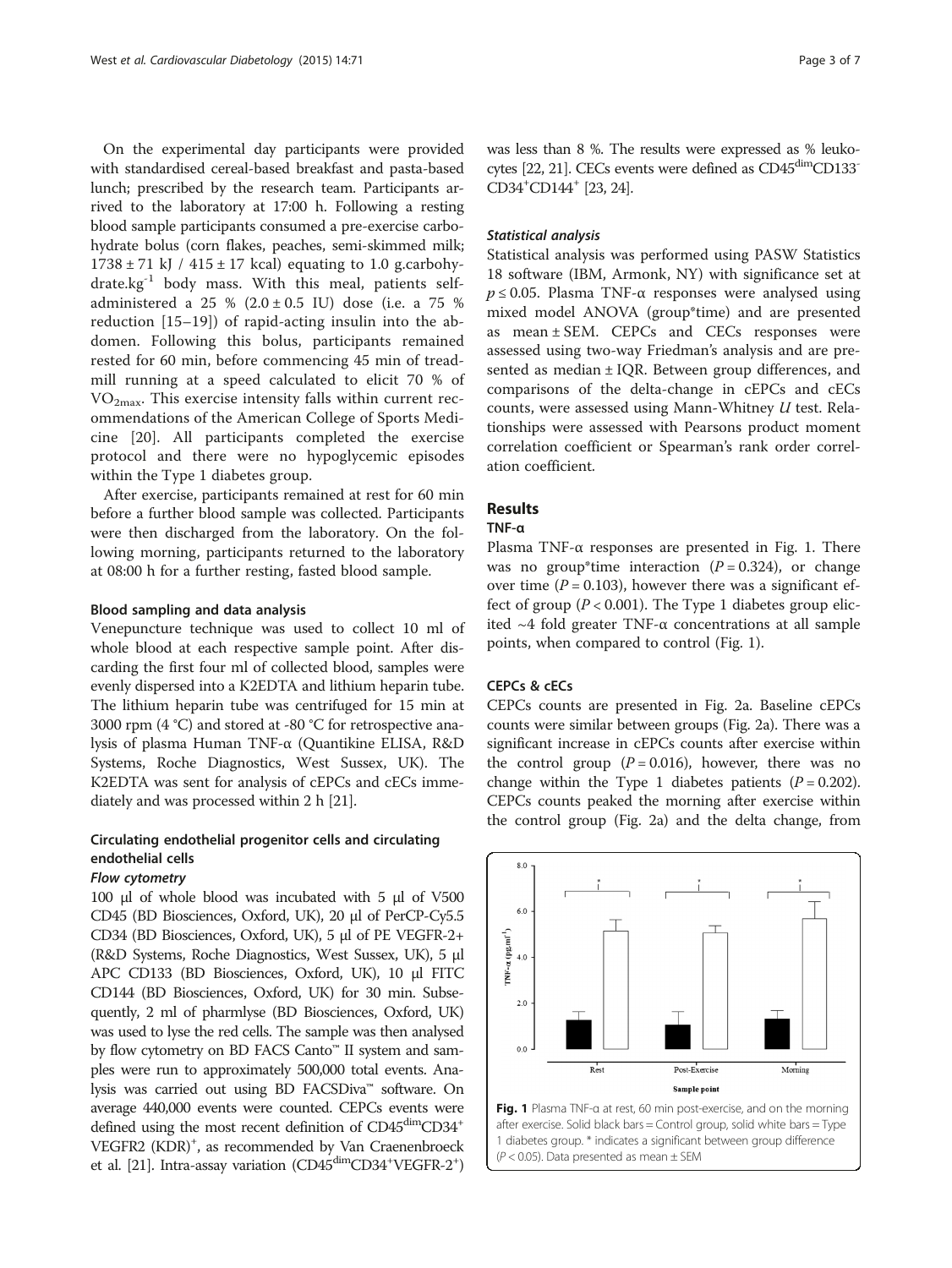On the experimental day participants were provided with standardised cereal-based breakfast and pasta-based lunch; prescribed by the research team. Participants arrived to the laboratory at 17:00 h. Following a resting blood sample participants consumed a pre-exercise carbohydrate bolus (corn flakes, peaches, semi-skimmed milk;  $1738 \pm 71$  kJ /  $415 \pm 17$  kcal) equating to 1.0 g.carbohydrate.kg $^{-1}$  body mass. With this meal, patients selfadministered a 25 %  $(2.0 \pm 0.5 \text{ IU})$  dose (i.e. a 75 % reduction [\[15](#page-6-0)–[19](#page-6-0)]) of rapid-acting insulin into the abdomen. Following this bolus, participants remained rested for 60 min, before commencing 45 min of treadmill running at a speed calculated to elicit 70 % of  $VO<sub>2max</sub>$ . This exercise intensity falls within current recommendations of the American College of Sports Medicine [[20\]](#page-7-0). All participants completed the exercise protocol and there were no hypoglycemic episodes within the Type 1 diabetes group.

After exercise, participants remained at rest for 60 min before a further blood sample was collected. Participants were then discharged from the laboratory. On the following morning, participants returned to the laboratory at 08:00 h for a further resting, fasted blood sample.

#### Blood sampling and data analysis

Venepuncture technique was used to collect 10 ml of whole blood at each respective sample point. After discarding the first four ml of collected blood, samples were evenly dispersed into a K2EDTA and lithium heparin tube. The lithium heparin tube was centrifuged for 15 min at 3000 rpm (4 °C) and stored at -80 °C for retrospective analysis of plasma Human TNF-α (Quantikine ELISA, R&D Systems, Roche Diagnostics, West Sussex, UK). The K2EDTA was sent for analysis of cEPCs and cECs immediately and was processed within 2 h [[21](#page-7-0)].

## Circulating endothelial progenitor cells and circulating endothelial cells

## Flow cytometry

100 μl of whole blood was incubated with 5 μl of V500 CD45 (BD Biosciences, Oxford, UK), 20 μl of PerCP-Cy5.5 CD34 (BD Biosciences, Oxford, UK), 5 μl of PE VEGFR-2+ (R&D Systems, Roche Diagnostics, West Sussex, UK), 5 μl APC CD133 (BD Biosciences, Oxford, UK), 10 μl FITC CD144 (BD Biosciences, Oxford, UK) for 30 min. Subsequently, 2 ml of pharmlyse (BD Biosciences, Oxford, UK) was used to lyse the red cells. The sample was then analysed by flow cytometry on BD FACS Canto™ II system and samples were run to approximately 500,000 total events. Analysis was carried out using BD FACSDiva™ software. On average 440,000 events were counted. CEPCs events were defined using the most recent definition of CD45<sup>dim</sup>CD34<sup>+</sup> VEGFR2 (KDR)<sup>+</sup>, as recommended by Van Craenenbroeck et al. [\[21\]](#page-7-0). Intra-assay variation (CD45<sup>dim</sup>CD34<sup>+</sup>VEGFR-2<sup>+</sup>)

was less than 8 %. The results were expressed as % leuko-cytes [\[22, 21\]](#page-7-0). CECs events were defined as CD45<sup>dim</sup>CD133<sup>-</sup> CD34<sup>+</sup>CD144<sup>+</sup> [\[23, 24](#page-7-0)].

#### Statistical analysis

Statistical analysis was performed using PASW Statistics 18 software (IBM, Armonk, NY) with significance set at  $p \le 0.05$ . Plasma TNF- $\alpha$  responses were analysed using mixed model ANOVA (group\*time) and are presented as mean ± SEM. CEPCs and CECs responses were assessed using two-way Friedman's analysis and are presented as median ± IQR. Between group differences, and comparisons of the delta-change in cEPCs and cECs counts, were assessed using Mann-Whitney U test. Relationships were assessed with Pearsons product moment correlation coefficient or Spearman's rank order correlation coefficient.

## Results

## TNF-α

Plasma TNF- $\alpha$  responses are presented in Fig. 1. There was no group\*time interaction  $(P = 0.324)$ , or change over time ( $P = 0.103$ ), however there was a significant effect of group ( $P < 0.001$ ). The Type 1 diabetes group elicited  $~4$  fold greater TNF-α concentrations at all sample points, when compared to control (Fig. 1).

#### CEPCs & cECs

CEPCs counts are presented in Fig. [2a.](#page-4-0) Baseline cEPCs counts were similar between groups (Fig. [2a\)](#page-4-0). There was a significant increase in cEPCs counts after exercise within the control group  $(P = 0.016)$ , however, there was no change within the Type 1 diabetes patients  $(P = 0.202)$ . CEPCs counts peaked the morning after exercise within the control group (Fig. [2a](#page-4-0)) and the delta change, from



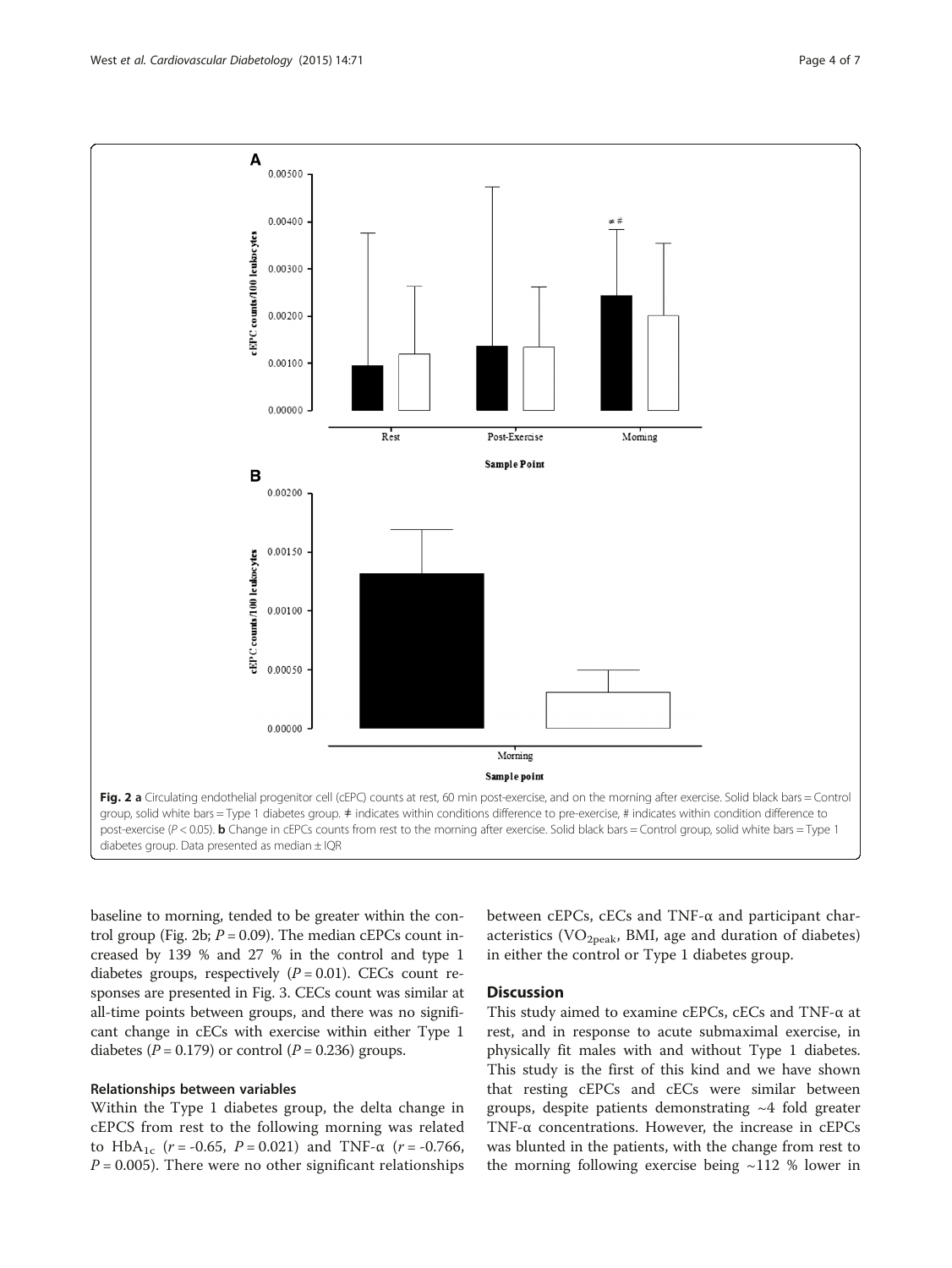<span id="page-4-0"></span>

baseline to morning, tended to be greater within the control group (Fig. 2b;  $P = 0.09$ ). The median cEPCs count increased by 139 % and 27 % in the control and type 1 diabetes groups, respectively  $(P = 0.01)$ . CECs count responses are presented in Fig. [3.](#page-5-0) CECs count was similar at all-time points between groups, and there was no significant change in cECs with exercise within either Type 1 diabetes ( $P = 0.179$ ) or control ( $P = 0.236$ ) groups.

#### Relationships between variables

Within the Type 1 diabetes group, the delta change in cEPCS from rest to the following morning was related to HbA<sub>1c</sub> (r = -0.65, P = 0.021) and TNF- $\alpha$  (r = -0.766,  $P = 0.005$ ). There were no other significant relationships

between cEPCs, cECs and TNF-α and participant characteristics ( $VO<sub>2peak</sub>$ , BMI, age and duration of diabetes) in either the control or Type 1 diabetes group.

#### **Discussion**

This study aimed to examine cEPCs, cECs and TNF-α at rest, and in response to acute submaximal exercise, in physically fit males with and without Type 1 diabetes. This study is the first of this kind and we have shown that resting cEPCs and cECs were similar between groups, despite patients demonstrating  $~14$  fold greater TNF-α concentrations. However, the increase in cEPCs was blunted in the patients, with the change from rest to the morning following exercise being ~112 % lower in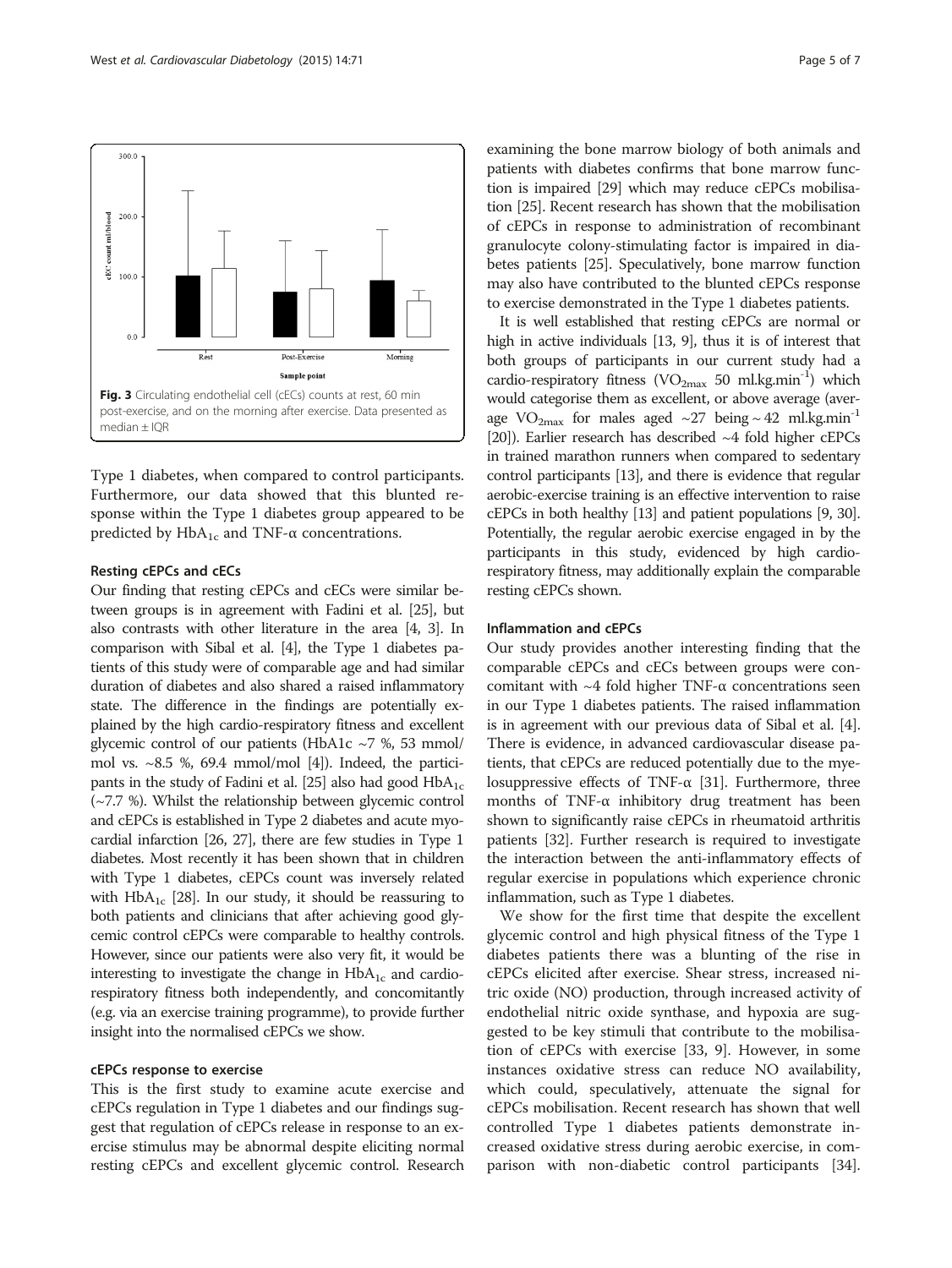<span id="page-5-0"></span>

Type 1 diabetes, when compared to control participants. Furthermore, our data showed that this blunted response within the Type 1 diabetes group appeared to be predicted by  $HbA_{1c}$  and TNF- $\alpha$  concentrations.

#### Resting cEPCs and cECs

Our finding that resting cEPCs and cECs were similar between groups is in agreement with Fadini et al. [[25](#page-7-0)], but also contrasts with other literature in the area [\[4](#page-6-0), [3](#page-6-0)]. In comparison with Sibal et al. [[4](#page-6-0)], the Type 1 diabetes patients of this study were of comparable age and had similar duration of diabetes and also shared a raised inflammatory state. The difference in the findings are potentially explained by the high cardio-respiratory fitness and excellent glycemic control of our patients (HbA1c  $\sim$ 7 %, 53 mmol/ mol vs.  $\sim$ 8.5 %, 69.4 mmol/mol [\[4](#page-6-0)]). Indeed, the partici-pants in the study of Fadini et al. [\[25](#page-7-0)] also had good  $HbA_{1c}$ (~7.7 %). Whilst the relationship between glycemic control and cEPCs is established in Type 2 diabetes and acute myocardial infarction [[26](#page-7-0), [27](#page-7-0)], there are few studies in Type 1 diabetes. Most recently it has been shown that in children with Type 1 diabetes, cEPCs count was inversely related with  $HbA_{1c}$  [\[28\]](#page-7-0). In our study, it should be reassuring to both patients and clinicians that after achieving good glycemic control cEPCs were comparable to healthy controls. However, since our patients were also very fit, it would be interesting to investigate the change in  $HbA_{1c}$  and cardiorespiratory fitness both independently, and concomitantly (e.g. via an exercise training programme), to provide further insight into the normalised cEPCs we show.

#### cEPCs response to exercise

This is the first study to examine acute exercise and cEPCs regulation in Type 1 diabetes and our findings suggest that regulation of cEPCs release in response to an exercise stimulus may be abnormal despite eliciting normal resting cEPCs and excellent glycemic control. Research

examining the bone marrow biology of both animals and patients with diabetes confirms that bone marrow function is impaired [[29](#page-7-0)] which may reduce cEPCs mobilisation [\[25](#page-7-0)]. Recent research has shown that the mobilisation of cEPCs in response to administration of recombinant granulocyte colony-stimulating factor is impaired in diabetes patients [\[25\]](#page-7-0). Speculatively, bone marrow function may also have contributed to the blunted cEPCs response to exercise demonstrated in the Type 1 diabetes patients.

It is well established that resting cEPCs are normal or high in active individuals [\[13, 9](#page-6-0)], thus it is of interest that both groups of participants in our current study had a cardio-respiratory fitness (VO<sub>2max</sub> 50 ml.kg.min<sup>-1</sup>) which would categorise them as excellent, or above average (average VO<sub>2max</sub> for males aged ~27 being ~42 ml.kg.min<sup>-1</sup> [[20](#page-7-0)]). Earlier research has described  $~4$  fold higher cEPCs in trained marathon runners when compared to sedentary control participants [\[13](#page-6-0)], and there is evidence that regular aerobic-exercise training is an effective intervention to raise cEPCs in both healthy [\[13](#page-6-0)] and patient populations [\[9,](#page-6-0) [30](#page-7-0)]. Potentially, the regular aerobic exercise engaged in by the participants in this study, evidenced by high cardiorespiratory fitness, may additionally explain the comparable resting cEPCs shown.

#### Inflammation and cEPCs

Our study provides another interesting finding that the comparable cEPCs and cECs between groups were concomitant with ~4 fold higher TNF-α concentrations seen in our Type 1 diabetes patients. The raised inflammation is in agreement with our previous data of Sibal et al. [[4](#page-6-0)]. There is evidence, in advanced cardiovascular disease patients, that cEPCs are reduced potentially due to the myelosuppressive effects of TNF- $\alpha$  [[31](#page-7-0)]. Furthermore, three months of TNF-α inhibitory drug treatment has been shown to significantly raise cEPCs in rheumatoid arthritis patients [[32](#page-7-0)]. Further research is required to investigate the interaction between the anti-inflammatory effects of regular exercise in populations which experience chronic inflammation, such as Type 1 diabetes.

We show for the first time that despite the excellent glycemic control and high physical fitness of the Type 1 diabetes patients there was a blunting of the rise in cEPCs elicited after exercise. Shear stress, increased nitric oxide (NO) production, through increased activity of endothelial nitric oxide synthase, and hypoxia are suggested to be key stimuli that contribute to the mobilisation of cEPCs with exercise [[33,](#page-7-0) [9](#page-6-0)]. However, in some instances oxidative stress can reduce NO availability, which could, speculatively, attenuate the signal for cEPCs mobilisation. Recent research has shown that well controlled Type 1 diabetes patients demonstrate increased oxidative stress during aerobic exercise, in comparison with non-diabetic control participants [\[34](#page-7-0)].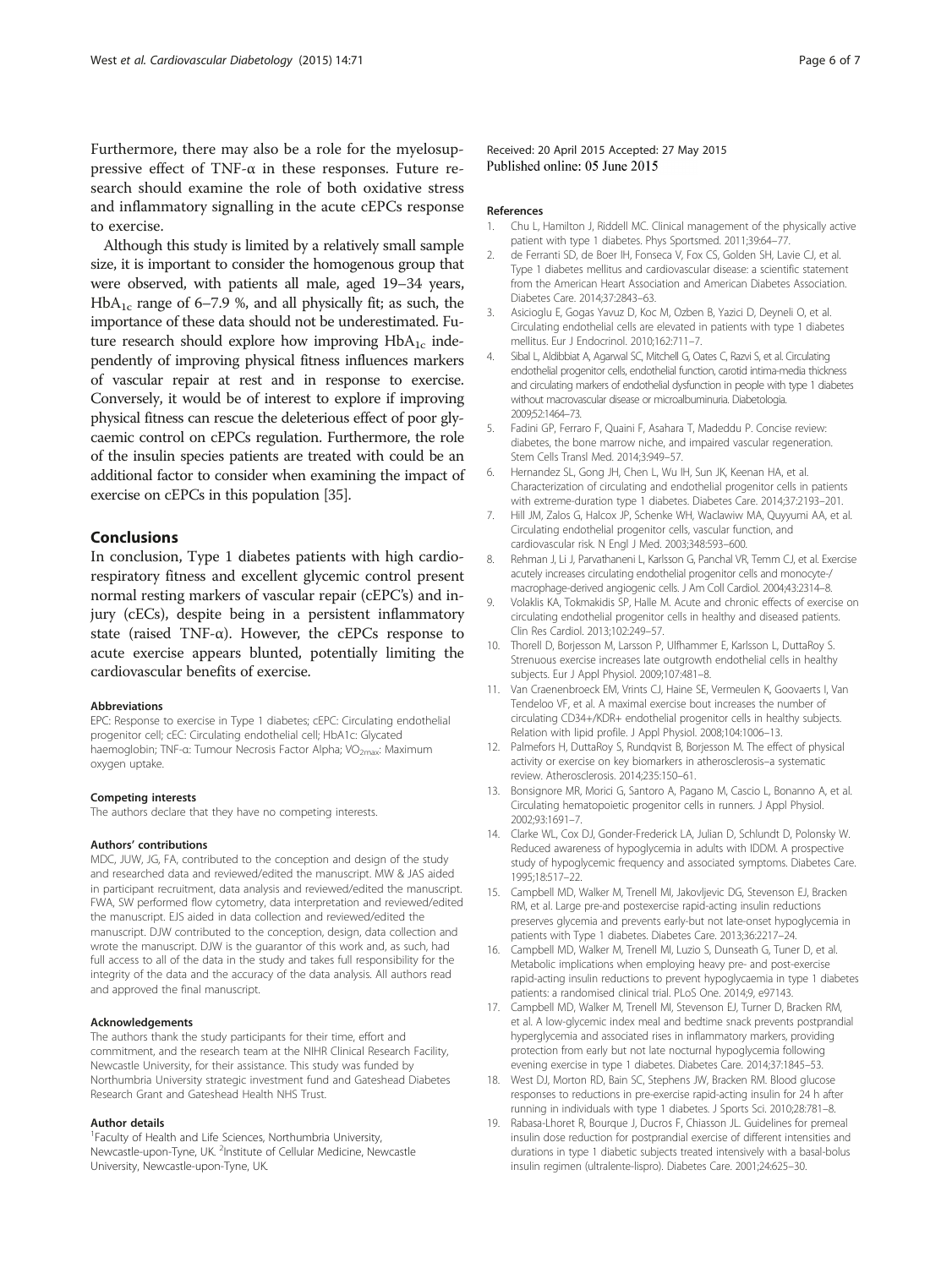<span id="page-6-0"></span>Furthermore, there may also be a role for the myelosuppressive effect of TNF-α in these responses. Future research should examine the role of both oxidative stress and inflammatory signalling in the acute cEPCs response to exercise.

Although this study is limited by a relatively small sample size, it is important to consider the homogenous group that were observed, with patients all male, aged 19–34 years,  $HbA_{1c}$  range of 6–7.9 %, and all physically fit; as such, the importance of these data should not be underestimated. Future research should explore how improving  $HbA_{1c}$  independently of improving physical fitness influences markers of vascular repair at rest and in response to exercise. Conversely, it would be of interest to explore if improving physical fitness can rescue the deleterious effect of poor glycaemic control on cEPCs regulation. Furthermore, the role of the insulin species patients are treated with could be an additional factor to consider when examining the impact of exercise on cEPCs in this population [\[35\]](#page-7-0).

#### **Conclusions**

In conclusion, Type 1 diabetes patients with high cardiorespiratory fitness and excellent glycemic control present normal resting markers of vascular repair (cEPC's) and injury (cECs), despite being in a persistent inflammatory state (raised TNF- $\alpha$ ). However, the cEPCs response to acute exercise appears blunted, potentially limiting the cardiovascular benefits of exercise.

#### Abbreviations

EPC: Response to exercise in Type 1 diabetes; cEPC: Circulating endothelial progenitor cell; cEC: Circulating endothelial cell; HbA1c: Glycated haemoglobin; TNF-α: Tumour Necrosis Factor Alpha; VO<sub>2mav</sub>: Maximum oxygen uptake.

#### Competing interests

The authors declare that they have no competing interests.

#### Authors' contributions

MDC, JUW, JG, FA, contributed to the conception and design of the study and researched data and reviewed/edited the manuscript. MW & JAS aided in participant recruitment, data analysis and reviewed/edited the manuscript. FWA, SW performed flow cytometry, data interpretation and reviewed/edited the manuscript. EJS aided in data collection and reviewed/edited the manuscript. DJW contributed to the conception, design, data collection and wrote the manuscript. DJW is the guarantor of this work and, as such, had full access to all of the data in the study and takes full responsibility for the integrity of the data and the accuracy of the data analysis. All authors read and approved the final manuscript.

#### Acknowledgements

The authors thank the study participants for their time, effort and commitment, and the research team at the NIHR Clinical Research Facility, Newcastle University, for their assistance. This study was funded by Northumbria University strategic investment fund and Gateshead Diabetes Research Grant and Gateshead Health NHS Trust.

#### Author details

<sup>1</sup> Faculty of Health and Life Sciences, Northumbria University, Newcastle-upon-Tyne, UK. <sup>2</sup>Institute of Cellular Medicine, Newcastle University, Newcastle-upon-Tyne, UK.

Received: 20 April 2015 Accepted: 27 May 2015 Published online: 05 June 2015

#### References

- 1. Chu L, Hamilton J, Riddell MC. Clinical management of the physically active patient with type 1 diabetes. Phys Sportsmed. 2011;39:64–77.
- 2. de Ferranti SD, de Boer IH, Fonseca V, Fox CS, Golden SH, Lavie CJ, et al. Type 1 diabetes mellitus and cardiovascular disease: a scientific statement from the American Heart Association and American Diabetes Association. Diabetes Care. 2014;37:2843–63.
- 3. Asicioglu E, Gogas Yavuz D, Koc M, Ozben B, Yazici D, Deyneli O, et al. Circulating endothelial cells are elevated in patients with type 1 diabetes mellitus. Eur J Endocrinol. 2010;162:711–7.
- 4. Sibal L, Aldibbiat A, Agarwal SC, Mitchell G, Oates C, Razvi S, et al. Circulating endothelial progenitor cells, endothelial function, carotid intima-media thickness and circulating markers of endothelial dysfunction in people with type 1 diabetes without macrovascular disease or microalbuminuria. Diabetologia. 2009;52:1464–73.
- 5. Fadini GP, Ferraro F, Quaini F, Asahara T, Madeddu P. Concise review: diabetes, the bone marrow niche, and impaired vascular regeneration. Stem Cells Transl Med. 2014;3:949–57.
- 6. Hernandez SL, Gong JH, Chen L, Wu IH, Sun JK, Keenan HA, et al. Characterization of circulating and endothelial progenitor cells in patients with extreme-duration type 1 diabetes. Diabetes Care. 2014;37:2193–201.
- 7. Hill JM, Zalos G, Halcox JP, Schenke WH, Waclawiw MA, Quyyumi AA, et al. Circulating endothelial progenitor cells, vascular function, and cardiovascular risk. N Engl J Med. 2003;348:593–600.
- 8. Rehman J, Li J, Parvathaneni L, Karlsson G, Panchal VR, Temm CJ, et al. Exercise acutely increases circulating endothelial progenitor cells and monocyte-/ macrophage-derived angiogenic cells. J Am Coll Cardiol. 2004;43:2314–8.
- 9. Volaklis KA, Tokmakidis SP, Halle M. Acute and chronic effects of exercise on circulating endothelial progenitor cells in healthy and diseased patients. Clin Res Cardiol. 2013;102:249–57.
- 10. Thorell D, Borjesson M, Larsson P, Ulfhammer E, Karlsson L, DuttaRoy S. Strenuous exercise increases late outgrowth endothelial cells in healthy subjects. Eur J Appl Physiol. 2009;107:481–8.
- 11. Van Craenenbroeck EM, Vrints CJ, Haine SE, Vermeulen K, Goovaerts I, Van Tendeloo VF, et al. A maximal exercise bout increases the number of circulating CD34+/KDR+ endothelial progenitor cells in healthy subjects. Relation with lipid profile. J Appl Physiol. 2008;104:1006–13.
- 12. Palmefors H, DuttaRoy S, Rundqvist B, Borjesson M. The effect of physical activity or exercise on key biomarkers in atherosclerosis–a systematic review. Atherosclerosis. 2014;235:150–61.
- 13. Bonsignore MR, Morici G, Santoro A, Pagano M, Cascio L, Bonanno A, et al. Circulating hematopoietic progenitor cells in runners. J Appl Physiol. 2002;93:1691–7.
- 14. Clarke WL, Cox DJ, Gonder-Frederick LA, Julian D, Schlundt D, Polonsky W. Reduced awareness of hypoglycemia in adults with IDDM. A prospective study of hypoglycemic frequency and associated symptoms. Diabetes Care. 1995;18:517–22.
- 15. Campbell MD, Walker M, Trenell MI, Jakovljevic DG, Stevenson EJ, Bracken RM, et al. Large pre-and postexercise rapid-acting insulin reductions preserves glycemia and prevents early-but not late-onset hypoglycemia in patients with Type 1 diabetes. Diabetes Care. 2013;36:2217–24.
- 16. Campbell MD, Walker M, Trenell MI, Luzio S, Dunseath G, Tuner D, et al. Metabolic implications when employing heavy pre- and post-exercise rapid-acting insulin reductions to prevent hypoglycaemia in type 1 diabetes patients: a randomised clinical trial. PLoS One. 2014;9, e97143.
- 17. Campbell MD, Walker M, Trenell MI, Stevenson EJ, Turner D, Bracken RM, et al. A low-glycemic index meal and bedtime snack prevents postprandial hyperglycemia and associated rises in inflammatory markers, providing protection from early but not late nocturnal hypoglycemia following evening exercise in type 1 diabetes. Diabetes Care. 2014;37:1845–53.
- 18. West DJ, Morton RD, Bain SC, Stephens JW, Bracken RM. Blood glucose responses to reductions in pre-exercise rapid-acting insulin for 24 h after running in individuals with type 1 diabetes. J Sports Sci. 2010;28:781–8.
- 19. Rabasa-Lhoret R, Bourque J, Ducros F, Chiasson JL. Guidelines for premeal insulin dose reduction for postprandial exercise of different intensities and durations in type 1 diabetic subjects treated intensively with a basal-bolus insulin regimen (ultralente-lispro). Diabetes Care. 2001;24:625–30.